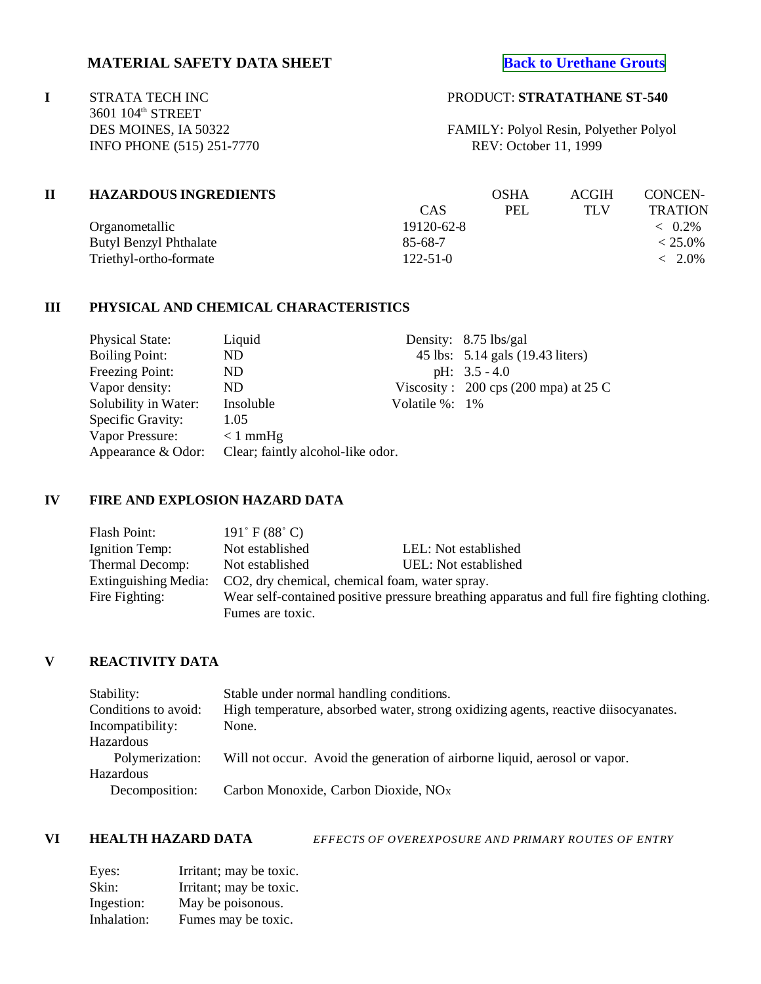# **MATERIAL SAFETY DATA SHEET [Back to Urethane Grouts](http://www.strata-tech.com/urethane.html#540)**

**I** STRATA TECH INC PRODUCT: **STRATATHANE ST-540** 3601 104<sup>th</sup> STREET INFO PHONE (515) 251-7770

DES MOINES, IA 50322 FAMILY: Polyol Resin, Polyether Polyol<br>INFO PHONE (515) 251-7770 REV: October 11, 1999

| <b>HAZARDOUS INGREDIENTS</b>  |                | OSHA       | <b>ACGIH</b> | CONCEN-                                                                                                                                                                                                                             |
|-------------------------------|----------------|------------|--------------|-------------------------------------------------------------------------------------------------------------------------------------------------------------------------------------------------------------------------------------|
|                               | <b>CAS</b>     | <b>PEL</b> | TLV          | <b>TRATION</b>                                                                                                                                                                                                                      |
| Organometallic                | 19120-62-8     |            |              | $\langle 0.2\% 0.2\% 0.2\% 0.2\% 0.2\% 0.2\% 0.2\% 0.2\% 0.2\% 0.2\% 0.2\% 0.2\% 0.2\% 0.2\% 0.2\% 0.2\% 0.2\% 0.2\% 0.2\% 0.2\% 0.2\% 0.2\% 0.2\% 0.2\% 0.2\% 0.2\% 0.2\% 0.2\% 0.2\% 0.2\% 0.2\% 0.2\% 0.2\% 0.2\% 0.2\% 0.2\% 0$ |
| <b>Butyl Benzyl Phthalate</b> | 85-68-7        |            |              | $< 25.0\%$                                                                                                                                                                                                                          |
| Triethyl-ortho-formate        | $122 - 51 - 0$ |            |              | $< 2.0\%$                                                                                                                                                                                                                           |

## **III PHYSICAL AND CHEMICAL CHARACTERISTICS**

| <b>Physical State:</b>                                  | Liquid     |                     | Density: 8.75 lbs/gal                          |
|---------------------------------------------------------|------------|---------------------|------------------------------------------------|
| <b>Boiling Point:</b>                                   | ND         |                     | 45 lbs: 5.14 gals (19.43 liters)               |
| Freezing Point:                                         | ND         |                     | pH: $3.5 - 4.0$                                |
| Vapor density:                                          | ND.        |                     | Viscosity: $200 \text{ cps}$ (200 mpa) at 25 C |
| Solubility in Water:                                    | Insoluble  | Volatile $\%$ : 1\% |                                                |
| Specific Gravity:                                       | 1.05       |                     |                                                |
| Vapor Pressure:                                         | $< 1$ mmHg |                     |                                                |
| Clear; faintly alcohol-like odor.<br>Appearance & Odor: |            |                     |                                                |

## **IV FIRE AND EXPLOSION HAZARD DATA**

| Flash Point:                | $191^\circ$ F (88 $^\circ$ C)                                                              |                      |  |
|-----------------------------|--------------------------------------------------------------------------------------------|----------------------|--|
| Ignition Temp:              | Not established                                                                            | LEL: Not established |  |
| Thermal Decomp:             | Not established                                                                            | UEL: Not established |  |
| <b>Extinguishing Media:</b> | CO2, dry chemical, chemical foam, water spray.                                             |                      |  |
| Fire Fighting:              | Wear self-contained positive pressure breathing apparatus and full fire fighting clothing. |                      |  |
|                             | Fumes are toxic.                                                                           |                      |  |

# **V REACTIVITY DATA**

| Stability:           | Stable under normal handling conditions.                                           |
|----------------------|------------------------------------------------------------------------------------|
| Conditions to avoid: | High temperature, absorbed water, strong oxidizing agents, reactive diisocyanates. |
| Incompatibility:     | None.                                                                              |
| Hazardous            |                                                                                    |
| Polymerization:      | Will not occur. Avoid the generation of airborne liquid, aerosol or vapor.         |
| <b>Hazardous</b>     |                                                                                    |
| Decomposition:       | Carbon Monoxide, Carbon Dioxide, NO <sub>x</sub>                                   |

**VI HEALTH HAZARD DATA** *EFFECTS OF OVEREXPOSURE AND PRIMARY ROUTES OF ENTRY*

| Eyes:       | Irritant; may be toxic. |
|-------------|-------------------------|
| Skin:       | Irritant; may be toxic. |
| Ingestion:  | May be poisonous.       |
| Inhalation: | Fumes may be toxic.     |